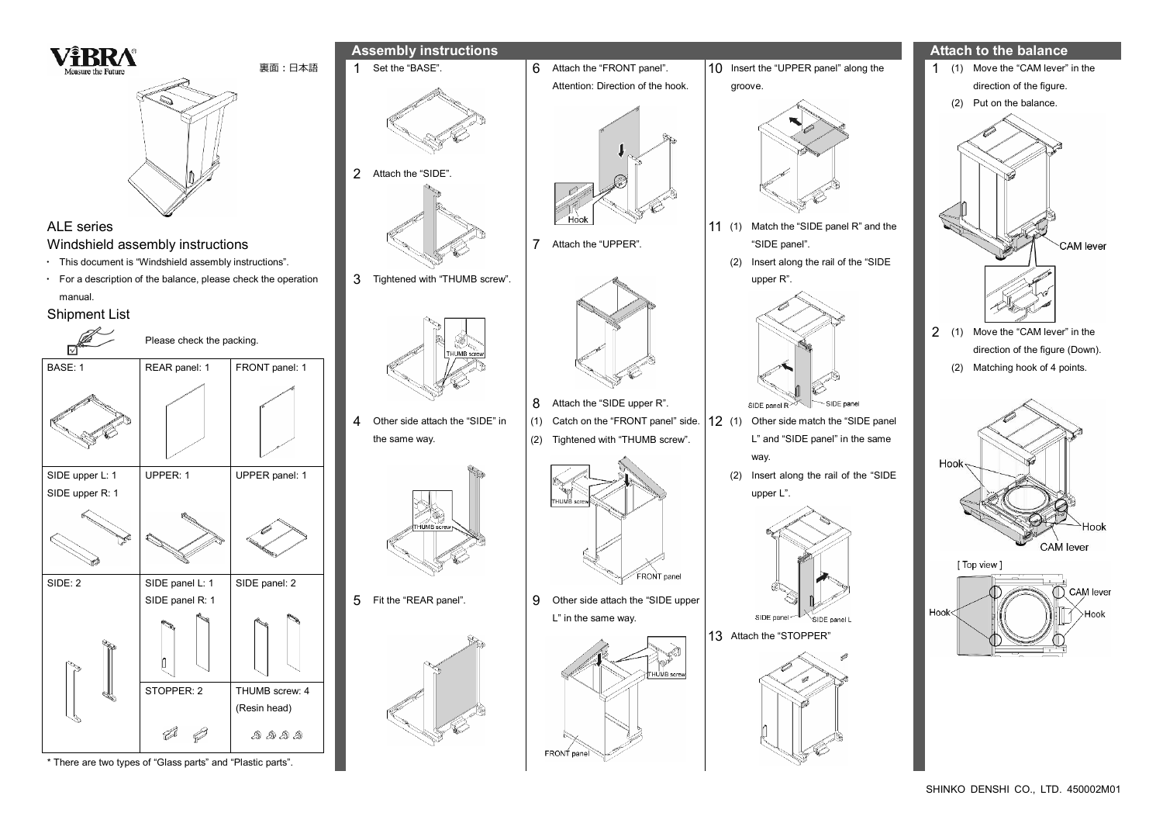SHINKO DENSHI CO., LTD. 450002M01